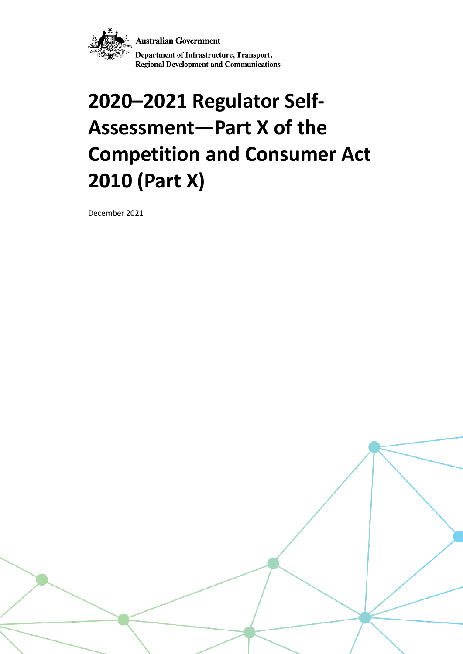**Australian Government** 



Department of Infrastructure, Transport, **Regional Development and Communications** 

# **2020–2021 Regulator Self-Assessment—Part X of the Competition and Consumer Act 2010 (Part X)**

December 2021

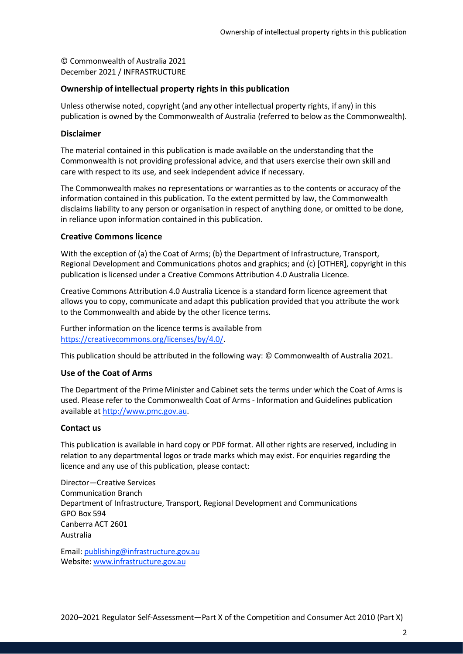© Commonwealth of Australia 2021 December 2021 / INFRASTRUCTURE

### **Ownership of intellectual property rights in this publication**

Unless otherwise noted, copyright (and any other intellectual property rights, if any) in this publication is owned by the Commonwealth of Australia (referred to below as the Commonwealth).

#### **Disclaimer**

The material contained in this publication is made available on the understanding that the Commonwealth is not providing professional advice, and that users exercise their own skill and care with respect to its use, and seek independent advice if necessary.

The Commonwealth makes no representations or warranties as to the contents or accuracy of the information contained in this publication. To the extent permitted by law, the Commonwealth disclaims liability to any person or organisation in respect of anything done, or omitted to be done, in reliance upon information contained in this publication.

### **Creative Commons licence**

With the exception of (a) the Coat of Arms; (b) the Department of Infrastructure, Transport, Regional Development and Communications photos and graphics; and (c) [OTHER], copyright in this publication is licensed under a Creative Commons Attribution 4.0 Australia Licence.

Creative Commons Attribution 4.0 Australia Licence is a standard form licence agreement that allows you to copy, communicate and adapt this publication provided that you attribute the work to the Commonwealth and abide by the other licence terms.

Further information on the licence terms is available from [https://creativecommons.org/licenses/by/4.0/.](https://creativecommons.org/licenses/by/4.0/)

This publication should be attributed in the following way: © Commonwealth of Australia 2021.

### **Use of the Coat of Arms**

The Department of the Prime Minister and Cabinet sets the terms under which the Coat of Arms is used. Please refer to the Commonwealth Coat of Arms - Information and Guidelines publication available a[t http://www.pmc.gov.au.](http://www.pmc.gov.au/)

#### **Contact us**

This publication is available in hard copy or PDF format. All other rights are reserved, including in relation to any departmental logos or trade marks which may exist. For enquiries regarding the licence and any use of this publication, please contact:

Director—Creative Services Communication Branch Department of Infrastructure, Transport, Regional Development and Communications GPO Box 594 Canberra ACT 2601 Australia

Email: [publishing@infrastructure.gov.au](mailto:publishing@infrastructure.gov.au) Website: [www.infrastructure.gov.au](http://www.infrastructure.gov.au/)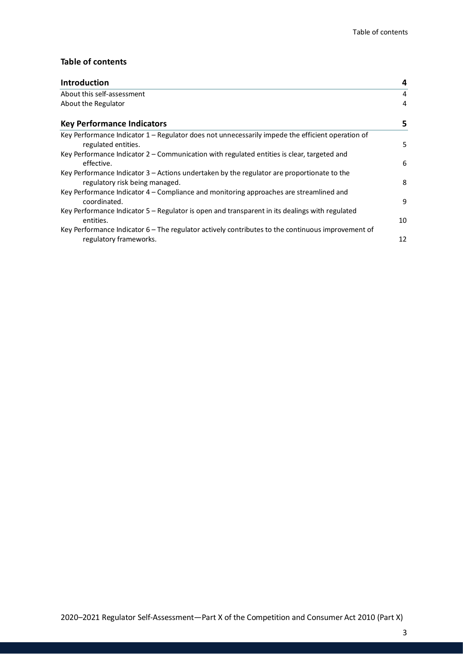### **Table of contents**

| <b>Introduction</b>                                                                                                           | 4  |
|-------------------------------------------------------------------------------------------------------------------------------|----|
| About this self-assessment                                                                                                    | 4  |
| About the Regulator                                                                                                           | 4  |
| <b>Key Performance Indicators</b>                                                                                             | 5  |
| Key Performance Indicator 1 - Regulator does not unnecessarily impede the efficient operation of<br>regulated entities.       | 5  |
| Key Performance Indicator 2 – Communication with regulated entities is clear, targeted and<br>effective.                      | 6  |
| Key Performance Indicator 3 – Actions undertaken by the regulator are proportionate to the<br>regulatory risk being managed.  | 8  |
| Key Performance Indicator 4 – Compliance and monitoring approaches are streamlined and<br>coordinated.                        | 9  |
| Key Performance Indicator 5 – Regulator is open and transparent in its dealings with regulated<br>entities.                   | 10 |
| Key Performance Indicator $6$ – The regulator actively contributes to the continuous improvement of<br>regulatory frameworks. | 12 |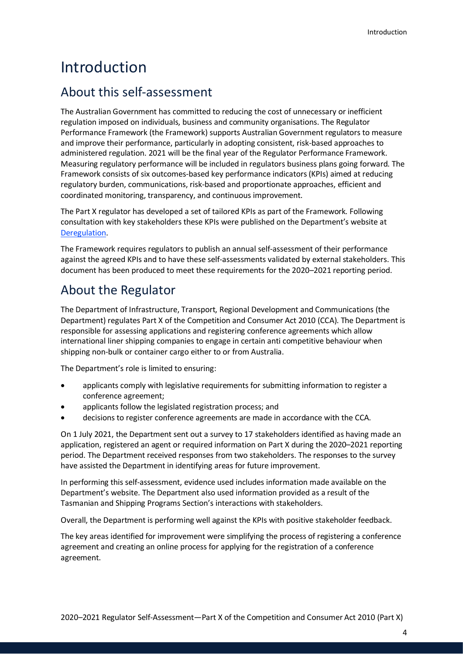# <span id="page-3-0"></span>Introduction

### <span id="page-3-1"></span>About this self-assessment

The Australian Government has committed to reducing the cost of unnecessary or inefficient regulation imposed on individuals, business and community organisations. The Regulator Performance Framework (the Framework) supports Australian Government regulators to measure and improve their performance, particularly in adopting consistent, risk-based approaches to administered regulation. 2021 will be the final year of the Regulator Performance Framework. Measuring regulatory performance will be included in regulators business plans going forward. The Framework consists of six outcomes-based key performance indicators (KPIs) aimed at reducing regulatory burden, communications, risk-based and proportionate approaches, efficient and coordinated monitoring, transparency, and continuous improvement.

The Part X regulator has developed a set of tailored KPIs as part of the Framework. Following consultation with key stakeholders these KPIs were published on the Department's website at [Deregulation.](https://www.infrastructure.gov.au/department/deregulation/)

The Framework requires regulators to publish an annual self-assessment of their performance against the agreed KPIs and to have these self-assessments validated by external stakeholders. This document has been produced to meet these requirements for the 2020–2021 reporting period.

### <span id="page-3-2"></span>About the Regulator

The Department of Infrastructure, Transport, Regional Development and Communications (the Department) regulates Part X of the Competition and Consumer Act 2010 (CCA). The Department is responsible for assessing applications and registering conference agreements which allow international liner shipping companies to engage in certain anti competitive behaviour when shipping non-bulk or container cargo either to or from Australia.

The Department's role is limited to ensuring:

- applicants comply with legislative requirements for submitting information to register a conference agreement;
- applicants follow the legislated registration process; and
- decisions to register conference agreements are made in accordance with the CCA.

On 1 July 2021, the Department sent out a survey to 17 stakeholders identified as having made an application, registered an agent or required information on Part X during the 2020–2021 reporting period. The Department received responses from two stakeholders. The responses to the survey have assisted the Department in identifying areas for future improvement.

In performing this self-assessment, evidence used includes information made available on the Department's website. The Department also used information provided as a result of the Tasmanian and Shipping Programs Section's interactions with stakeholders.

Overall, the Department is performing well against the KPIs with positive stakeholder feedback.

The key areas identified for improvement were simplifying the process of registering a conference agreement and creating an online process for applying for the registration of a conference agreement.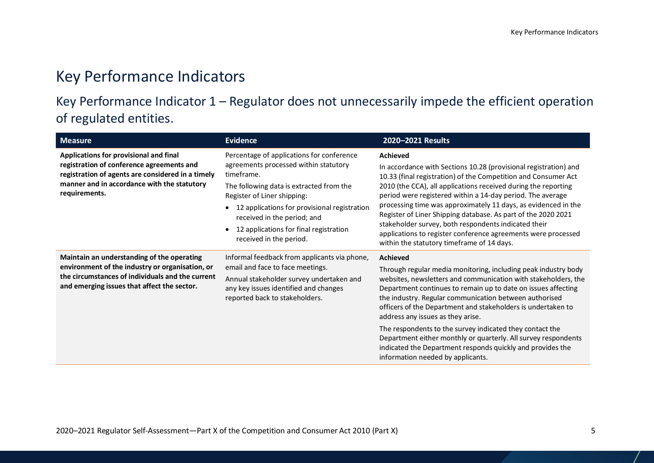# Key Performance Indicators

# Key Performance Indicator 1 – Regulator does not unnecessarily impede the efficient operation of regulated entities.

<span id="page-4-1"></span><span id="page-4-0"></span>

| <b>Measure</b>                                                                                                                                                                                           | <b>Evidence</b>                                                                                                                                                                                                                                                                                                                 | 2020-2021 Results                                                                                                                                                                                                                                                                                                                                                                                                                                                                                                                                                                                                    |
|----------------------------------------------------------------------------------------------------------------------------------------------------------------------------------------------------------|---------------------------------------------------------------------------------------------------------------------------------------------------------------------------------------------------------------------------------------------------------------------------------------------------------------------------------|----------------------------------------------------------------------------------------------------------------------------------------------------------------------------------------------------------------------------------------------------------------------------------------------------------------------------------------------------------------------------------------------------------------------------------------------------------------------------------------------------------------------------------------------------------------------------------------------------------------------|
| Applications for provisional and final<br>registration of conference agreements and<br>registration of agents are considered in a timely<br>manner and in accordance with the statutory<br>requirements. | Percentage of applications for conference<br>agreements processed within statutory<br>timeframe.<br>The following data is extracted from the<br>Register of Liner shipping:<br>12 applications for provisional registration<br>received in the period; and<br>12 applications for final registration<br>received in the period. | <b>Achieved</b><br>In accordance with Sections 10.28 (provisional registration) and<br>10.33 (final registration) of the Competition and Consumer Act<br>2010 (the CCA), all applications received during the reporting<br>period were registered within a 14-day period. The average<br>processing time was approximately 11 days, as evidenced in the<br>Register of Liner Shipping database. As part of the 2020 2021<br>stakeholder survey, both respondents indicated their<br>applications to register conference agreements were processed<br>within the statutory timeframe of 14 days.                      |
| Maintain an understanding of the operating<br>environment of the industry or organisation, or<br>the circumstances of individuals and the current<br>and emerging issues that affect the sector.         | Informal feedback from applicants via phone,<br>email and face to face meetings.<br>Annual stakeholder survey undertaken and<br>any key issues identified and changes<br>reported back to stakeholders.                                                                                                                         | <b>Achieved</b><br>Through regular media monitoring, including peak industry body<br>websites, newsletters and communication with stakeholders, the<br>Department continues to remain up to date on issues affecting<br>the industry. Regular communication between authorised<br>officers of the Department and stakeholders is undertaken to<br>address any issues as they arise.<br>The respondents to the survey indicated they contact the<br>Department either monthly or quarterly. All survey respondents<br>indicated the Department responds quickly and provides the<br>information needed by applicants. |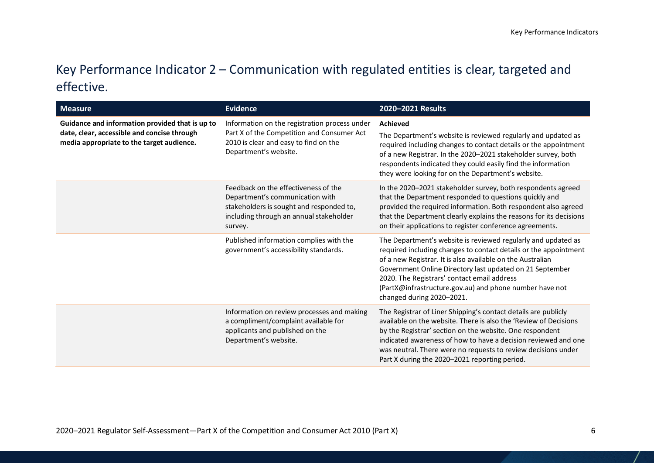# Key Performance Indicator 2 – Communication with regulated entities is clear, targeted and effective.

<span id="page-5-0"></span>

| <b>Measure</b>                                                                                                                              | <b>Evidence</b>                                                                                                                                                           | 2020-2021 Results                                                                                                                                                                                                                                                                                                                                                                                  |
|---------------------------------------------------------------------------------------------------------------------------------------------|---------------------------------------------------------------------------------------------------------------------------------------------------------------------------|----------------------------------------------------------------------------------------------------------------------------------------------------------------------------------------------------------------------------------------------------------------------------------------------------------------------------------------------------------------------------------------------------|
| Guidance and information provided that is up to<br>date, clear, accessible and concise through<br>media appropriate to the target audience. | Information on the registration process under<br>Part X of the Competition and Consumer Act<br>2010 is clear and easy to find on the<br>Department's website.             | <b>Achieved</b><br>The Department's website is reviewed regularly and updated as<br>required including changes to contact details or the appointment<br>of a new Registrar. In the 2020-2021 stakeholder survey, both<br>respondents indicated they could easily find the information<br>they were looking for on the Department's website.                                                        |
|                                                                                                                                             | Feedback on the effectiveness of the<br>Department's communication with<br>stakeholders is sought and responded to,<br>including through an annual stakeholder<br>survey. | In the 2020-2021 stakeholder survey, both respondents agreed<br>that the Department responded to questions quickly and<br>provided the required information. Both respondent also agreed<br>that the Department clearly explains the reasons for its decisions<br>on their applications to register conference agreements.                                                                         |
|                                                                                                                                             | Published information complies with the<br>government's accessibility standards.                                                                                          | The Department's website is reviewed regularly and updated as<br>required including changes to contact details or the appointment<br>of a new Registrar. It is also available on the Australian<br>Government Online Directory last updated on 21 September<br>2020. The Registrars' contact email address<br>(PartX@infrastructure.gov.au) and phone number have not<br>changed during 2020-2021. |
|                                                                                                                                             | Information on review processes and making<br>a compliment/complaint available for<br>applicants and published on the<br>Department's website.                            | The Registrar of Liner Shipping's contact details are publicly<br>available on the website. There is also the 'Review of Decisions<br>by the Registrar' section on the website. One respondent<br>indicated awareness of how to have a decision reviewed and one<br>was neutral. There were no requests to review decisions under<br>Part X during the 2020-2021 reporting period.                 |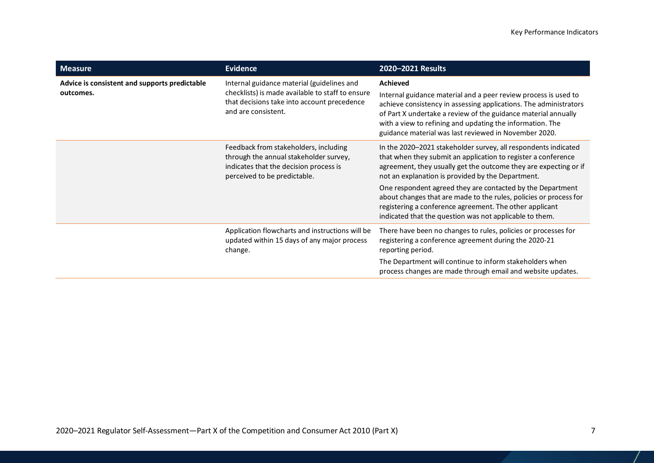| <b>Measure</b>                                             | <b>Evidence</b>                                                                                                                                                      | 2020-2021 Results                                                                                                                                                                                                                                                                                                                                                                                                                                                                                                 |
|------------------------------------------------------------|----------------------------------------------------------------------------------------------------------------------------------------------------------------------|-------------------------------------------------------------------------------------------------------------------------------------------------------------------------------------------------------------------------------------------------------------------------------------------------------------------------------------------------------------------------------------------------------------------------------------------------------------------------------------------------------------------|
| Advice is consistent and supports predictable<br>outcomes. | Internal guidance material (guidelines and<br>checklists) is made available to staff to ensure<br>that decisions take into account precedence<br>and are consistent. | <b>Achieved</b><br>Internal guidance material and a peer review process is used to<br>achieve consistency in assessing applications. The administrators<br>of Part X undertake a review of the guidance material annually<br>with a view to refining and updating the information. The<br>guidance material was last reviewed in November 2020.                                                                                                                                                                   |
|                                                            | Feedback from stakeholders, including<br>through the annual stakeholder survey,<br>indicates that the decision process is<br>perceived to be predictable.            | In the 2020-2021 stakeholder survey, all respondents indicated<br>that when they submit an application to register a conference<br>agreement, they usually get the outcome they are expecting or if<br>not an explanation is provided by the Department.<br>One respondent agreed they are contacted by the Department<br>about changes that are made to the rules, policies or process for<br>registering a conference agreement. The other applicant<br>indicated that the question was not applicable to them. |
|                                                            | Application flowcharts and instructions will be<br>updated within 15 days of any major process<br>change.                                                            | There have been no changes to rules, policies or processes for<br>registering a conference agreement during the 2020-21<br>reporting period.<br>The Department will continue to inform stakeholders when<br>process changes are made through email and website updates.                                                                                                                                                                                                                                           |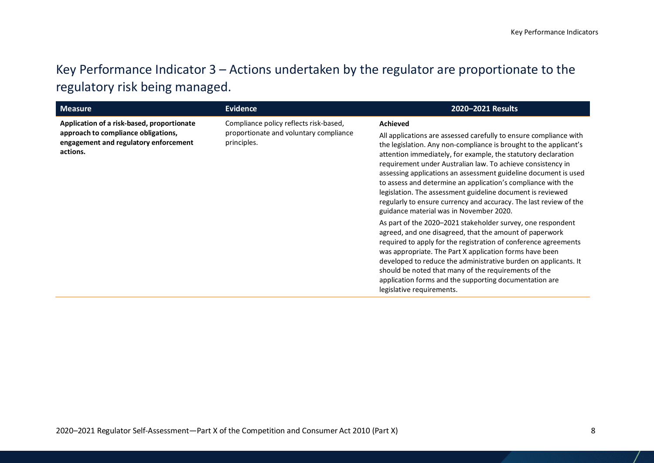# Key Performance Indicator 3 – Actions undertaken by the regulator are proportionate to the regulatory risk being managed.

<span id="page-7-0"></span>

| <b>Measure</b>                                                                                                                         | <b>Evidence</b>                                                                                 | 2020-2021 Results                                                                                                                                                                                                                                                                                                                                                                                                                                                                                                                                                                                          |
|----------------------------------------------------------------------------------------------------------------------------------------|-------------------------------------------------------------------------------------------------|------------------------------------------------------------------------------------------------------------------------------------------------------------------------------------------------------------------------------------------------------------------------------------------------------------------------------------------------------------------------------------------------------------------------------------------------------------------------------------------------------------------------------------------------------------------------------------------------------------|
| Application of a risk-based, proportionate<br>approach to compliance obligations,<br>engagement and regulatory enforcement<br>actions. | Compliance policy reflects risk-based,<br>proportionate and voluntary compliance<br>principles. | <b>Achieved</b><br>All applications are assessed carefully to ensure compliance with<br>the legislation. Any non-compliance is brought to the applicant's<br>attention immediately, for example, the statutory declaration<br>requirement under Australian law. To achieve consistency in<br>assessing applications an assessment guideline document is used<br>to assess and determine an application's compliance with the<br>legislation. The assessment guideline document is reviewed<br>regularly to ensure currency and accuracy. The last review of the<br>guidance material was in November 2020. |
|                                                                                                                                        |                                                                                                 | As part of the 2020-2021 stakeholder survey, one respondent<br>agreed, and one disagreed, that the amount of paperwork<br>required to apply for the registration of conference agreements<br>was appropriate. The Part X application forms have been<br>developed to reduce the administrative burden on applicants. It<br>should be noted that many of the requirements of the<br>application forms and the supporting documentation are<br>legislative requirements.                                                                                                                                     |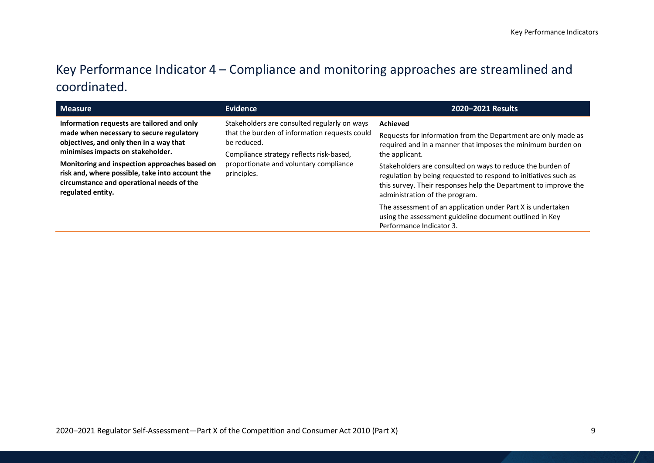# Key Performance Indicator 4 – Compliance and monitoring approaches are streamlined and coordinated.

<span id="page-8-0"></span>

| <b>Measure</b>                                                                                                                                                                                                                                                                                                                               | <b>Evidence</b>                                                                                                                                                                                                   | 2020-2021 Results                                                                                                                                                                                                                                                                                                                                                                                |
|----------------------------------------------------------------------------------------------------------------------------------------------------------------------------------------------------------------------------------------------------------------------------------------------------------------------------------------------|-------------------------------------------------------------------------------------------------------------------------------------------------------------------------------------------------------------------|--------------------------------------------------------------------------------------------------------------------------------------------------------------------------------------------------------------------------------------------------------------------------------------------------------------------------------------------------------------------------------------------------|
| Information requests are tailored and only<br>made when necessary to secure regulatory<br>objectives, and only then in a way that<br>minimises impacts on stakeholder.<br>Monitoring and inspection approaches based on<br>risk and, where possible, take into account the<br>circumstance and operational needs of the<br>regulated entity. | Stakeholders are consulted regularly on ways<br>that the burden of information requests could<br>be reduced.<br>Compliance strategy reflects risk-based,<br>proportionate and voluntary compliance<br>principles. | Achieved<br>Requests for information from the Department are only made as<br>required and in a manner that imposes the minimum burden on<br>the applicant.<br>Stakeholders are consulted on ways to reduce the burden of<br>regulation by being requested to respond to initiatives such as<br>this survey. Their responses help the Department to improve the<br>administration of the program. |
|                                                                                                                                                                                                                                                                                                                                              |                                                                                                                                                                                                                   | The assessment of an application under Part X is undertaken<br>using the assessment guideline document outlined in Key<br>Performance Indicator 3.                                                                                                                                                                                                                                               |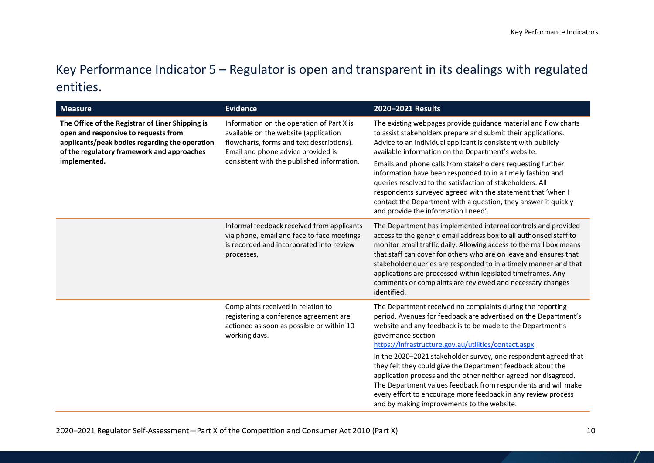# Key Performance Indicator 5 – Regulator is open and transparent in its dealings with regulated entities.

<span id="page-9-0"></span>

| <b>Measure</b>                                                                                                                                                                                           | <b>Evidence</b>                                                                                                                                                                                                     | 2020-2021 Results                                                                                                                                                                                                                                                                                                                                                                                                                                                                                                                                                                                                                                              |
|----------------------------------------------------------------------------------------------------------------------------------------------------------------------------------------------------------|---------------------------------------------------------------------------------------------------------------------------------------------------------------------------------------------------------------------|----------------------------------------------------------------------------------------------------------------------------------------------------------------------------------------------------------------------------------------------------------------------------------------------------------------------------------------------------------------------------------------------------------------------------------------------------------------------------------------------------------------------------------------------------------------------------------------------------------------------------------------------------------------|
| The Office of the Registrar of Liner Shipping is<br>open and responsive to requests from<br>applicants/peak bodies regarding the operation<br>of the regulatory framework and approaches<br>implemented. | Information on the operation of Part X is<br>available on the website (application<br>flowcharts, forms and text descriptions).<br>Email and phone advice provided is<br>consistent with the published information. | The existing webpages provide guidance material and flow charts<br>to assist stakeholders prepare and submit their applications.<br>Advice to an individual applicant is consistent with publicly<br>available information on the Department's website.<br>Emails and phone calls from stakeholders requesting further<br>information have been responded to in a timely fashion and<br>queries resolved to the satisfaction of stakeholders. All<br>respondents surveyed agreed with the statement that 'when I<br>contact the Department with a question, they answer it quickly<br>and provide the information I need'.                                     |
|                                                                                                                                                                                                          | Informal feedback received from applicants<br>via phone, email and face to face meetings<br>is recorded and incorporated into review<br>processes.                                                                  | The Department has implemented internal controls and provided<br>access to the generic email address box to all authorised staff to<br>monitor email traffic daily. Allowing access to the mail box means<br>that staff can cover for others who are on leave and ensures that<br>stakeholder queries are responded to in a timely manner and that<br>applications are processed within legislated timeframes. Any<br>comments or complaints are reviewed and necessary changes<br>identified.                                                                                                                                                                 |
|                                                                                                                                                                                                          | Complaints received in relation to<br>registering a conference agreement are<br>actioned as soon as possible or within 10<br>working days.                                                                          | The Department received no complaints during the reporting<br>period. Avenues for feedback are advertised on the Department's<br>website and any feedback is to be made to the Department's<br>governance section<br>https://infrastructure.gov.au/utilities/contact.aspx<br>In the 2020-2021 stakeholder survey, one respondent agreed that<br>they felt they could give the Department feedback about the<br>application process and the other neither agreed nor disagreed.<br>The Department values feedback from respondents and will make<br>every effort to encourage more feedback in any review process<br>and by making improvements to the website. |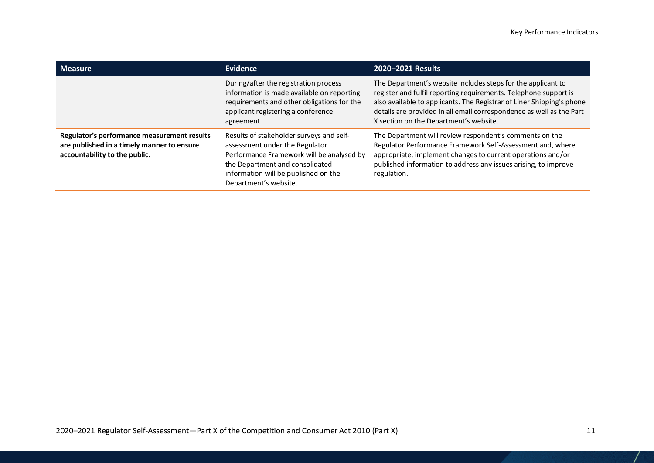| <b>Measure</b>                                                                                                             | Evidence                                                                                                                                                                                                                    | 2020-2021 Results                                                                                                                                                                                                                                                                                                           |
|----------------------------------------------------------------------------------------------------------------------------|-----------------------------------------------------------------------------------------------------------------------------------------------------------------------------------------------------------------------------|-----------------------------------------------------------------------------------------------------------------------------------------------------------------------------------------------------------------------------------------------------------------------------------------------------------------------------|
|                                                                                                                            | During/after the registration process<br>information is made available on reporting<br>requirements and other obligations for the<br>applicant registering a conference<br>agreement.                                       | The Department's website includes steps for the applicant to<br>register and fulfil reporting requirements. Telephone support is<br>also available to applicants. The Registrar of Liner Shipping's phone<br>details are provided in all email correspondence as well as the Part<br>X section on the Department's website. |
| Regulator's performance measurement results<br>are published in a timely manner to ensure<br>accountability to the public. | Results of stakeholder surveys and self-<br>assessment under the Regulator<br>Performance Framework will be analysed by<br>the Department and consolidated<br>information will be published on the<br>Department's website. | The Department will review respondent's comments on the<br>Regulator Performance Framework Self-Assessment and, where<br>appropriate, implement changes to current operations and/or<br>published information to address any issues arising, to improve<br>regulation.                                                      |